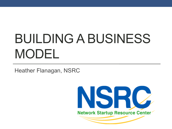# BUILDING A BUSINESS MODEL

Heather Flanagan, NSRC

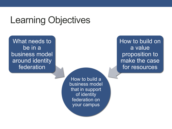## Learning Objectives

What needs to be in a business model around identity federation

> How to build a business model that in support of identity federation on your campus

How to build on a value proposition to make the case for resources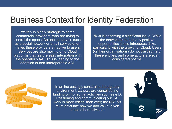#### Business Context for Identity Federation

*Identity* is highly strategic to some commercial providers, who are trying to control the space. An anchor service such as a social network or email service often makes these providers attractive to users. Services are also moving onto Cloud platforms that feature easy integration with the operator's AAI. This is leading to the adoption of non-interoperable AAI.

*Trust* is becoming a significant issue. While the network creates many positive opportunities it also introduces risks, particularly with the growth of Cloud. Users (or their organisations) do not trust some of these entities, and some actors are even considered hostile.



In an increasingly constrained budgetary environment, *funders* are consolidating funding on horizontal activities such as eID. Positioning and communicating our T&I work is more critical than ever; the NRENs must articulate how we add value, given these other activities.

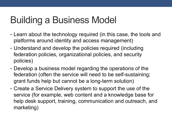## Building a Business Model

- Learn about the technology required (in this case, the tools and platforms around identity and access management)
- Understand and develop the policies required (including federation policies, organizational policies, and security policies)
- Develop a business model regarding the operations of the federation (often the service will need to be self-sustaining; grant funds help but cannot be a long-term solution)
- Create a Service Delivery system to support the use of the service (for example, web content and a knowledge base for help desk support, training, communication and outreach, and marketing)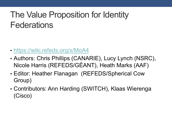## The Value Proposition for Identity **Federations**

- https://wiki.refeds.org/x/MoA4
- Authors: Chris Phillips (CANARIE), Lucy Lynch (NSRC), Nicole Harris (REFEDS/GÉANT), Heath Marks (AAF)
- Editor: Heather Flanagan (REFEDS/Spherical Cow Group)
- Contributors: Ann Harding (SWITCH), Klaas Wierenga (Cisco)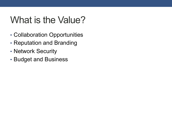## What is the Value?

- Collaboration Opportunities
- Reputation and Branding
- Network Security
- Budget and Business